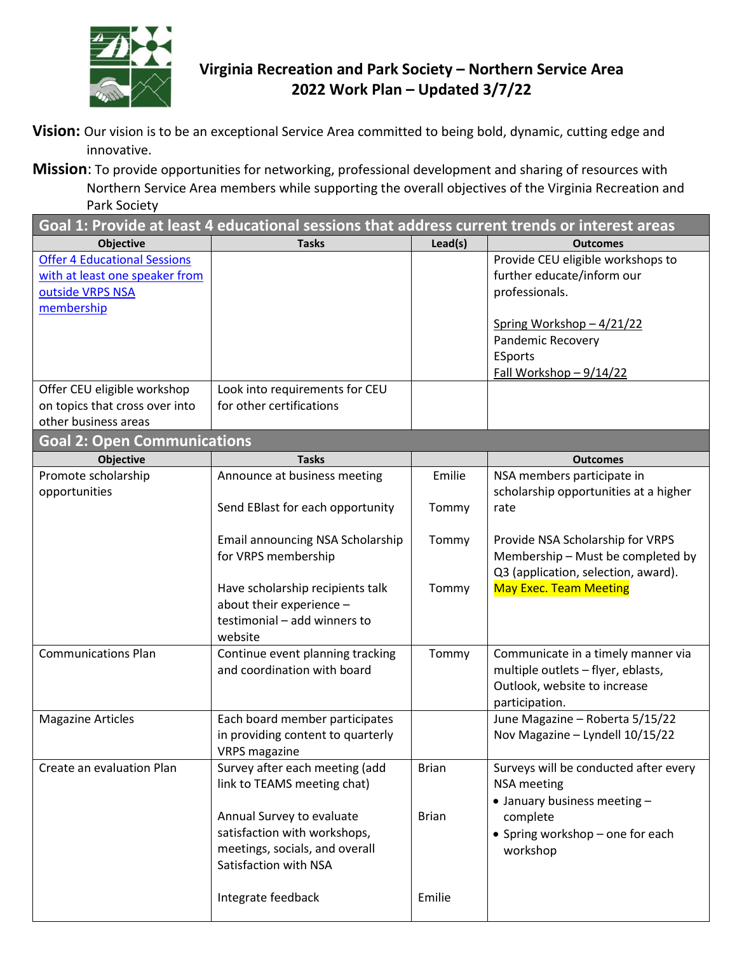

## **Virginia Recreation and Park Society – Northern Service Area 2022 Work Plan – Updated 3/7/22**

**Vision:** Our vision is to be an exceptional Service Area committed to being bold, dynamic, cutting edge and innovative.

**Mission**: To provide opportunities for networking, professional development and sharing of resources with Northern Service Area members while supporting the overall objectives of the Virginia Recreation and Park Society

| Goal 1: Provide at least 4 educational sessions that address current trends or interest areas |                                   |              |                                       |  |  |
|-----------------------------------------------------------------------------------------------|-----------------------------------|--------------|---------------------------------------|--|--|
| <b>Objective</b>                                                                              | <b>Tasks</b>                      | Lead(s)      | <b>Outcomes</b>                       |  |  |
| <b>Offer 4 Educational Sessions</b>                                                           |                                   |              | Provide CEU eligible workshops to     |  |  |
| with at least one speaker from                                                                |                                   |              | further educate/inform our            |  |  |
| outside VRPS NSA                                                                              |                                   |              | professionals.                        |  |  |
| membership                                                                                    |                                   |              |                                       |  |  |
|                                                                                               |                                   |              | Spring Workshop - 4/21/22             |  |  |
|                                                                                               |                                   |              | <b>Pandemic Recovery</b>              |  |  |
|                                                                                               |                                   |              | ESports                               |  |  |
|                                                                                               |                                   |              | Fall Workshop-9/14/22                 |  |  |
| Offer CEU eligible workshop                                                                   | Look into requirements for CEU    |              |                                       |  |  |
| on topics that cross over into                                                                | for other certifications          |              |                                       |  |  |
| other business areas                                                                          |                                   |              |                                       |  |  |
| <b>Goal 2: Open Communications</b>                                                            |                                   |              |                                       |  |  |
| <b>Objective</b>                                                                              | <b>Tasks</b>                      |              | <b>Outcomes</b>                       |  |  |
| Promote scholarship                                                                           | Announce at business meeting      | Emilie       | NSA members participate in            |  |  |
| opportunities                                                                                 |                                   |              | scholarship opportunities at a higher |  |  |
|                                                                                               | Send EBlast for each opportunity  | Tommy        | rate                                  |  |  |
|                                                                                               |                                   |              |                                       |  |  |
|                                                                                               | Email announcing NSA Scholarship  | Tommy        | Provide NSA Scholarship for VRPS      |  |  |
|                                                                                               | for VRPS membership               |              | Membership - Must be completed by     |  |  |
|                                                                                               |                                   |              | Q3 (application, selection, award).   |  |  |
|                                                                                               | Have scholarship recipients talk  | Tommy        | <b>May Exec. Team Meeting</b>         |  |  |
|                                                                                               | about their experience -          |              |                                       |  |  |
|                                                                                               | testimonial - add winners to      |              |                                       |  |  |
|                                                                                               | website                           |              |                                       |  |  |
| <b>Communications Plan</b>                                                                    | Continue event planning tracking  | Tommy        | Communicate in a timely manner via    |  |  |
|                                                                                               | and coordination with board       |              | multiple outlets - flyer, eblasts,    |  |  |
|                                                                                               |                                   |              | Outlook, website to increase          |  |  |
|                                                                                               |                                   |              | participation.                        |  |  |
| <b>Magazine Articles</b>                                                                      | Each board member participates    |              | June Magazine - Roberta 5/15/22       |  |  |
|                                                                                               | in providing content to quarterly |              | Nov Magazine - Lyndell 10/15/22       |  |  |
|                                                                                               | <b>VRPS magazine</b>              |              |                                       |  |  |
| Create an evaluation Plan                                                                     | Survey after each meeting (add    | <b>Brian</b> | Surveys will be conducted after every |  |  |
|                                                                                               | link to TEAMS meeting chat)       |              | <b>NSA</b> meeting                    |  |  |
|                                                                                               |                                   |              | • January business meeting -          |  |  |
|                                                                                               | Annual Survey to evaluate         | <b>Brian</b> | complete                              |  |  |
|                                                                                               | satisfaction with workshops,      |              | • Spring workshop - one for each      |  |  |
|                                                                                               | meetings, socials, and overall    |              | workshop                              |  |  |
|                                                                                               | Satisfaction with NSA             |              |                                       |  |  |
|                                                                                               |                                   |              |                                       |  |  |
|                                                                                               | Integrate feedback                | Emilie       |                                       |  |  |
|                                                                                               |                                   |              |                                       |  |  |